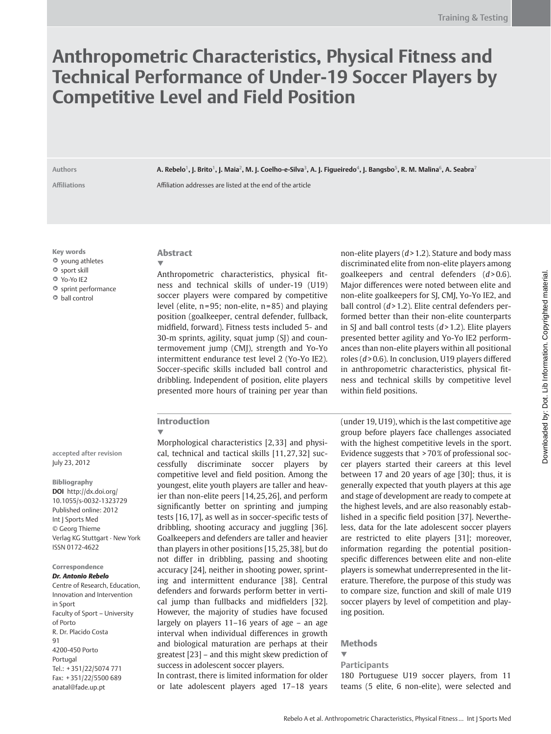# **Anthropometric Characteristics, Physical Fitness and Technical Performance of Under-19 Soccer Players by Competitive Level and Field Position**

Authors **A. Rebelo<sup>1</sup>, J. Brito<sup>1</sup>, J. Maia<sup>2</sup>, M. J. Coelho-e-Silva<sup>3</sup>, A. J. Figueiredo<sup>4</sup>, J. Bangsbo<sup>5</sup>, R. M. Malina<sup>6</sup>, A. Seabra<sup>7</sup>** 

Affiliations **Affiliation addresses** are listed at the end of the article

Key words ●▶ young athletes  $\circ$  sport skill  $\circ$  Yo-Yo IE2

●▶ sprint performance

●▶ ball control

**accepted after revision**  July 23 , 2012

Bibliography **DOI** http://dx.doi.org/ 10.1055/s-0032-1323729 Published online: 2012 Int | Sports Med © Georg Thieme Verlag KG Stuttgart · New York ISSN 0172-4622

#### Correspondence

*Dr. Antonio Rebelo* Centre of Research, Education, Innovation and Intervention in Sport Faculty of Sport – University of Porto R. Dr. Placido Costa 91 4200-450 Porto Portugal Tel.: + 351/22/5074 771 Fax: + 351/22/5500 689 anatal@fade.up.pt

### Abstract

▼ Anthropometric characteristics, physical fitness and technical skills of under-19 (U19) soccer players were compared by competitive level (elite,  $n = 95$ ; non-elite,  $n = 85$ ) and playing position (goalkeeper, central defender, fullback, midfield, forward). Fitness tests included 5- and 30-m sprints, agility, squat jump (SJ) and countermovement jump (CMJ), strength and Yo-Yo intermittent endurance test level 2 (Yo-Yo IE2). Soccer-specific skills included ball control and dribbling. Independent of position, elite players presented more hours of training per year than

non-elite players (*d* > 1.2). Stature and body mass discriminated elite from non-elite players among goalkeepers and central defenders (d>0.6). Major differences were noted between elite and non-elite goalkeepers for SJ, CMJ, Yo-Yo IE2, and ball control (d > 1.2). Elite central defenders performed better than their non-elite counterparts in SJ and ball control tests (d>1.2). Elite players presented better agility and Yo-Yo IE2 performances than non-elite players within all positional roles (*d* > 0.6). In conclusion, U19 players differed in anthropometric characteristics, physical fitness and technical skills by competitive level within field positions.

#### Introduction

▼ Morphological characteristics [2,33] and physical, technical and tactical skills [11,27,32] successfully discriminate soccer players by competitive level and field position. Among the youngest, elite youth players are taller and heavier than non-elite peers [14,25,26], and perform significantly better on sprinting and jumping tests  $[16, 17]$ , as well as in soccer-specific tests of dribbling, shooting accuracy and juggling [36]. Goalkeepers and defenders are taller and heavier than players in other positions [15,25,38], but do not differ in dribbling, passing and shooting accuracy [24], neither in shooting power, sprinting and intermittent endurance [38]. Central defenders and forwards perform better in vertical jump than fullbacks and midfielders [32]. However, the majority of studies have focused largely on players 11–16 years of age – an age interval when individual differences in growth and biological maturation are perhaps at their greatest [ 23 ] – and this might skew prediction of success in adolescent soccer players.

 In contrast, there is limited information for older or late adolescent players aged 17–18 years (under 19, U19), which is the last competitive age group before players face challenges associated with the highest competitive levels in the sport. Evidence suggests that > 70 % of professional soccer players started their careers at this level between 17 and 20 years of age  $[30]$ ; thus, it is generally expected that youth players at this age and stage of development are ready to compete at the highest levels, and are also reasonably established in a specific field position [37]. Nevertheless, data for the late adolescent soccer players are restricted to elite players [31]; moreover, information regarding the potential positionspecific differences between elite and non-elite players is somewhat underrepresented in the literature. Therefore, the purpose of this study was to compare size, function and skill of male U19 soccer players by level of competition and playing position.

#### **Methods**

▼

**Participants**

 180 Portuguese U19 soccer players, from 11 teams (5 elite, 6 non-elite), were selected and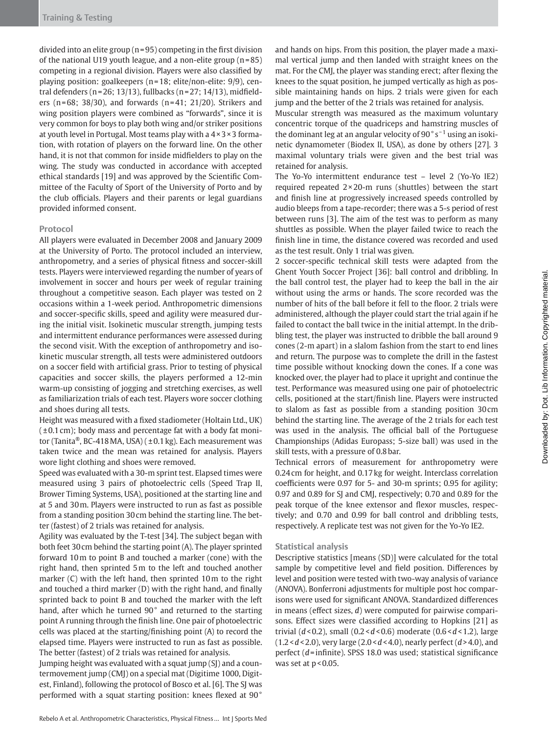divided into an elite group ( $n = 95$ ) competing in the first division of the national U19 youth league, and a non-elite group  $(n = 85)$ competing in a regional division. Players were also classified by playing position: goalkeepers (n=18; elite/non-elite: 9/9), central defenders (n = 26; 13/13), fullbacks (n = 27; 14/13), midfielders (n=68; 38/30), and forwards (n=41; 21/20). Strikers and wing position players were combined as "forwards", since it is very common for boys to play both wing and/or striker positions at youth level in Portugal. Most teams play with a  $4 \times 3 \times 3$  formation, with rotation of players on the forward line. On the other hand, it is not that common for inside midfielders to play on the wing. The study was conducted in accordance with accepted ethical standards [19] and was approved by the Scientific Committee of the Faculty of Sport of the University of Porto and by the club officials. Players and their parents or legal guardians provided informed consent.

#### **Protocol**

 All players were evaluated in December 2008 and January 2009 at the University of Porto. The protocol included an interview, anthropometry, and a series of physical fitness and soccer-skill tests. Players were interviewed regarding the number of years of involvement in soccer and hours per week of regular training throughout a competitive season. Each player was tested on 2 occasions within a 1-week period. Anthropometric dimensions and soccer-specific skills, speed and agility were measured during the initial visit. Isokinetic muscular strength, jumping tests and intermittent endurance performances were assessed during the second visit. With the exception of anthropometry and isokinetic muscular strength, all tests were administered outdoors on a soccer field with artificial grass. Prior to testing of physical capacities and soccer skills, the players performed a 12-min warm-up consisting of jogging and stretching exercises, as well as familiarization trials of each test. Players wore soccer clothing and shoes during all tests.

Height was measured with a fixed stadiometer (Holtain Ltd., UK)  $(\pm 0.1 \text{ cm})$ ; body mass and percentage fat with a body fat monitor (Tanita®, BC-418 MA, USA) ( $\pm$ 0.1 kg). Each measurement was taken twice and the mean was retained for analysis. Players wore light clothing and shoes were removed.

 Speed was evaluated with a 30-m sprint test. Elapsed times were measured using 3 pairs of photoelectric cells (Speed Trap II, Brower Timing Systems, USA), positioned at the starting line and at 5 and 30 m. Players were instructed to run as fast as possible from a standing position 30 cm behind the starting line. The better (fastest) of 2 trials was retained for analysis.

Agility was evaluated by the T-test [34]. The subject began with both feet 30 cm behind the starting point (A). The player sprinted forward 10 m to point B and touched a marker (cone) with the right hand, then sprinted 5 m to the left and touched another marker (C) with the left hand, then sprinted 10 m to the right and touched a third marker  $(D)$  with the right hand, and finally sprinted back to point B and touched the marker with the left hand, after which he turned 90° and returned to the starting point A running through the finish line. One pair of photoelectric cells was placed at the starting/finishing point  $(A)$  to record the elapsed time. Players were instructed to run as fast as possible. The better (fastest) of 2 trials was retained for analysis.

 Jumping height was evaluated with a squat jump (SJ) and a countermovement jump (CMJ) on a special mat (Digitime 1000, Digitest, Finland), following the protocol of Bosco et al. [6]. The SJ was performed with a squat starting position: knees flexed at 90°

and hands on hips. From this position, the player made a maximal vertical jump and then landed with straight knees on the mat. For the CMJ, the player was standing erect; after flexing the knees to the squat position, he jumped vertically as high as possible maintaining hands on hips. 2 trials were given for each jump and the better of the 2 trials was retained for analysis.

 Muscular strength was measured as the maximum voluntary concentric torque of the quadriceps and hamstring muscles of the dominant leg at an angular velocity of 90 $^{\circ}$  s<sup>-1</sup> using an isokinetic dynamometer (Biodex II, USA), as done by others [27]. 3 maximal voluntary trials were given and the best trial was retained for analysis.

 The Yo-Yo intermittent endurance test – level 2 (Yo-Yo IE2) required repeated  $2 \times 20$ -m runs (shuttles) between the start and finish line at progressively increased speeds controlled by audio bleeps from a tape-recorder; there was a 5-s period of rest between runs [3]. The aim of the test was to perform as many shuttles as possible. When the player failed twice to reach the finish line in time, the distance covered was recorded and used as the test result. Only 1 trial was given.

2 soccer-specific technical skill tests were adapted from the Ghent Youth Soccer Project [36]: ball control and dribbling. In the ball control test, the player had to keep the ball in the air without using the arms or hands. The score recorded was the number of hits of the ball before it fell to the floor. 2 trials were administered, although the player could start the trial again if he failed to contact the ball twice in the initial attempt. In the dribbling test, the player was instructed to dribble the ball around 9 cones (2-m apart) in a slalom fashion from the start to end lines and return. The purpose was to complete the drill in the fastest time possible without knocking down the cones. If a cone was knocked over, the player had to place it upright and continue the test. Performance was measured using one pair of photoelectric cells, positioned at the start/finish line. Players were instructed to slalom as fast as possible from a standing position 30 cm behind the starting line. The average of the 2 trials for each test was used in the analysis. The official ball of the Portuguese Championships (Adidas Europass; 5-size ball) was used in the skill tests, with a pressure of 0.8 bar.

 Technical errors of measurement for anthropometry were 0.24 cm for height, and 0.17 kg for weight. Interclass correlation coefficients were 0.97 for 5- and 30-m sprints; 0.95 for agility; 0.97 and 0.89 for SJ and CMJ, respectively; 0.70 and 0.89 for the peak torque of the knee extensor and flexor muscles, respectively; and 0.70 and 0.99 for ball control and dribbling tests, respectively. A replicate test was not given for the Yo-Yo IE2.

#### **Statistical analysis**

 Descriptive statistics [means (SD)] were calculated for the total sample by competitive level and field position. Differences by level and position were tested with two-way analysis of variance (ANOVA). Bonferroni adjustments for multiple post hoc comparisons were used for significant ANOVA. Standardized differences in means (effect sizes, *d*) were computed for pairwise comparisons. Effect sizes were classified according to Hopkins [21] as trivial ( *d* < 0.2), small (0.2 < *d* < 0.6) moderate (0.6 < *d* < 1.2), large (1.2 < *d* < 2.0), very large (2.0 < *d* < 4.0), nearly perfect ( *d* > 4.0), and perfect (d=infinite). SPSS 18.0 was used; statistical significance was set at p < 0.05.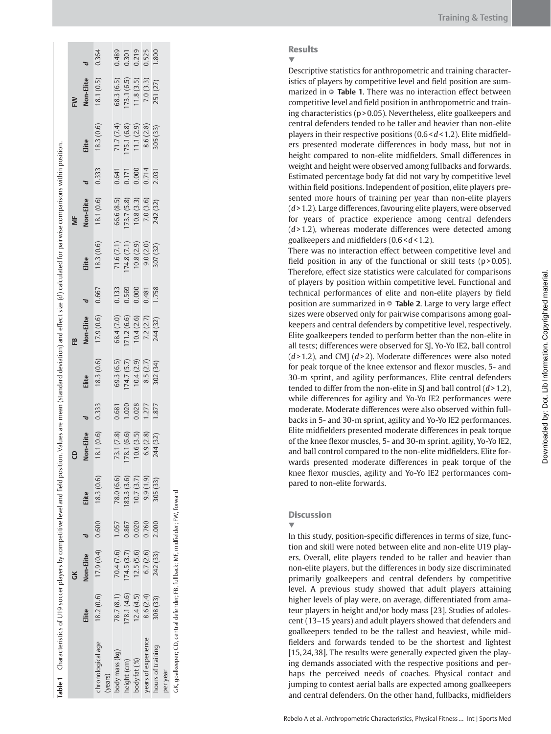|   | able 1 Characteristics of U19 soccer pl | avers by cor | ompetitive level and field posit |                              |       |           | tion. Values are mean (standard deviation) and effect size (d) calculated for pairwise comparisons within position |                              |       |           |       |
|---|-----------------------------------------|--------------|----------------------------------|------------------------------|-------|-----------|--------------------------------------------------------------------------------------------------------------------|------------------------------|-------|-----------|-------|
|   |                                         | š            |                                  | 8                            |       | œ         |                                                                                                                    | l⊫                           |       | ⋛         |       |
|   | Elite                                   | Non-Elite    | Elite                            | Non-Elite d                  | Elite | Non-Elite | Elite                                                                                                              | Non-Elite                    | Elite | Non-Elite |       |
| ğ | 18.2(0.6)                               | 17.9(0.4)    | $(0.600$ 18.3 $(0.6)$            | $18.1(0.6)$ 0.333 18.3 (0.6) |       |           | $17.9(0.6)$ 0.667 18.3 (0.6)                                                                                       | $18.1(0.6)$ 0.333 18.3 (0.6) |       | 18.1(0.5) | 0.364 |

body mass(kg) 78.7 (8.1) 70.4 (7.6) 1.057 (8.5) 0.581 68.4 (7.8) 0.681 68.4 (7.8) 0.733 71.6 (7.1) 71.6 (7.1) 71.6 71.6 (7.8) 0.47 0.4 (7.8.1) 0.641 71.6 (7.4) 0.489 height (cm) 178.1 (4.6) 174.5 (3.7) 0.867 183.3 (3.6) 178.1 (6.6) 1.020 174.7 (5.7) 171.2 (6.6) 0.569 174.8 (7.1) 173.7 (5.8) 0.171 175.1 (6.8) 173.1 (6.5) 0.301 body fat ( 4.5) 12.4 (4.5) 12.4 (4.5) 12.5 (4.5) 12.6 (4.6) 10.6 (3.6) 0.020 0.000 0.000 0.000 0.000 0.000 0.0<br>body fat (4.5) 12.4 (4.5) 12.4 (4.5) 12.4 (4.5) 12.4 (4.6) 10.4 (3.5) 0.000 0.000 0.000 0.000 0.000 0.000 0.00 years of experience 8.6 (2.4) 6.7 (2.6) 6.7 (2.6) 6.9 (2.8) 1.277 7.2 (2.7) 0.525 0.928 0.925 0.925 0.525 0.525

 $69.3(6.5)$ 

0.681

73.1 (7.8) 178.1 (6.6)

78.0 (6.6) 83.3 (3.6)

1.057

70.4 (7.6)  $174.5(3.7)$  $12.5(5.6)$  $6.7(2.6)$ 242 (33)

 $78.7(8.1)$  $(78.1(4.6))$  $12.4(4.5)$ 

 $174.7(5.7)$  $10.4(2.9)$  $8.5(2.7)$ 

1.020<br>0.028 1.277

> $10.6(3.5)$  $6.9(2.8)$

 $10.7(3.7)$  $9.9(1.9)$ 

0.020 0.760

0.867

68.4 (7.0)  $171.2(6.6)$  $10.4(2.6)$  $7.2(2.7)$ 244 (32)

0.489

68.3 (6.5)  $173.1(6.5)$  $11.8(3.5)$ 

 $71.7(7.4)$ 

 $0.641$ 0.171

66.6 (8.5)  $10.8(3.3)$  $7.0(3.6)$ 

 $71.6(7.1)$ 

 $173.7(5.8)$ 

74.8 (7.1)  $10.8(2.9)$ 

0.133<br>0.569

0.301

0.219<br>0.525<br>1.800

 $7.0(3.3)$ 

 $8.6(2.8)$ 

0.714

 $9.0(2.0)$ 

 $0.000$ <br> $0.481$ 1,758

 $11.1(2.9)$ 75.1 (6.8)

 $0.000$ 

251 (27)

305 (33)

2.031

242 (32)

307 (32)

308 (33) 242 (33) 2.000 305 (33) 244 (32) 1.877 302 (34) 244 (32) 1.758 307 (32) 242 (32) 2.031 305 (33) 251 (27) 1.800

302 (34)

1.877

244 (32)

305 (33)

2.000

per year

hours of training

hours of training

years of experience

body fat (%) height (cm)

 $8.6(2.4)$ 

308 (33)

(years)

body mass (kg)

GK, goalkeeper; CD, central defender; FB, fullback; MF, midfielder; FW, forward GK, goalkeeper; CD, central defender; FB, fullback; MF, midfi elder; FW, forward

#### Results

▼

 Descriptive statistics for anthropometric and training characteristics of players by competitive level and field position are summarized in **○ Table 1**. There was no interaction effect between competitive level and fi eld position in anthropometric and training characteristics (p > 0.05). Nevertheless, elite goalkeepers and central defenders tended to be taller and heavier than non-elite players in their respective positions (0.6 < d < 1.2). Elite midfielders presented moderate differences in body mass, but not in height compared to non-elite midfielders. Small differences in weight and height were observed among fullbacks and forwards. Estimated percentage body fat did not vary by competitive level within fi eld positions. Independent of position, elite players presented more hours of training per year than non-elite players (*d* > 1.2). Large differences, favouring elite players, were observed for years of practice experience among central defenders (*d*>1.2), whereas moderate differences were detected among goalkeepers and midfielders (0.6 < d < 1.2).

There was no interaction effect between competitive level and field position in any of the functional or skill tests  $(p > 0.05)$ . Therefore, effect size statistics were calculated for comparisons of players by position within competitive level. Functional and technical performances of elite and non-elite players by fi eld position are summarized in  $\circ$  Table 2. Large to very large effect sizes were observed only for pairwise comparisons among goalkeepers and central defenders by competitive level, respectively. Elite goalkeepers tended to perform better than the non-elite in all tests; differences were observed for SJ, Yo-Yo IE2, ball control  $(d>1.2)$ , and CMJ  $(d>2)$ . Moderate differences were also noted for peak torque of the knee extensor and flexor muscles, 5- and 30-m sprint, and agility performances. Elite central defenders tended to differ from the non-elite in SJ and ball control  $(d>1.2)$ , while differences for agility and Yo-Yo IE2 performances were moderate. Moderate differences were also observed within fullbacks in 5- and 30-m sprint, agility and Yo-Yo IE2 performances. Elite midfielders presented moderate differences in peak torque of the knee fl exor muscles, 5- and 30-m sprint, agility, Yo-Yo IE2, and ball control compared to the non-elite midfielders. Elite forwards presented moderate differences in peak torque of the knee flexor muscles, agility and Yo-Yo IE2 performances compared to non-elite forwards.

#### **Discussion**

#### ▼

In this study, position-specific differences in terms of size, function and skill were noted between elite and non-elite U19 players. Overall, elite players tended to be taller and heavier than non-elite players, but the differences in body size discriminated primarily goalkeepers and central defenders by competitive level. A previous study showed that adult players attaining higher levels of play were, on average, differentiated from amateur players in height and/or body mass [23]. Studies of adolescent (13–15 years) and adult players showed that defenders and goalkeepers tended to be the tallest and heaviest, while mid fielders and forwards tended to be the shortest and lightest [15, 24, 38]. The results were generally expected given the playing demands associated with the respective positions and perhaps the perceived needs of coaches. Physical contact and jumping to contest aerial balls are expected among goalkeepers and central defenders. On the other hand, fullbacks, mid fi elders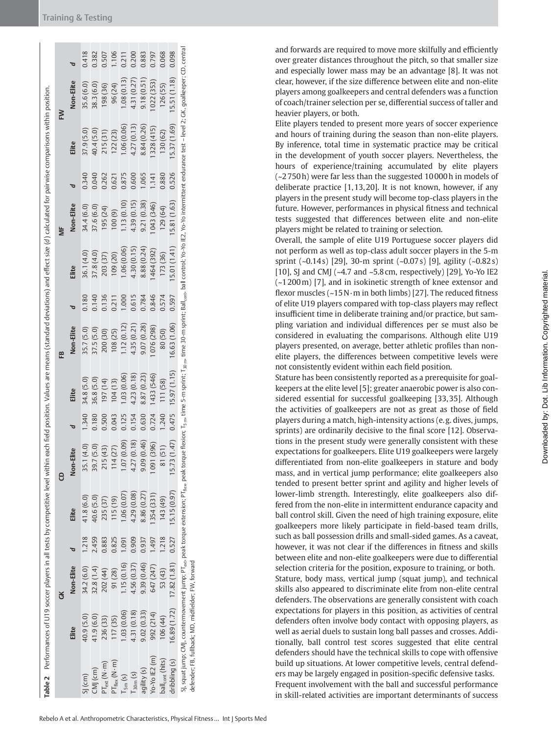|                              | Table 2 Performances of U19 soccer players in all tests by competitive level within                                                                                                                                                                                                                                                          |             |       |                                  |                                                  |       |             |              |       | each field position. Values are means (standard deviations) and effect size (d) calculated for pairwise comparisons within position. |              |       |             |             |       |
|------------------------------|----------------------------------------------------------------------------------------------------------------------------------------------------------------------------------------------------------------------------------------------------------------------------------------------------------------------------------------------|-------------|-------|----------------------------------|--------------------------------------------------|-------|-------------|--------------|-------|--------------------------------------------------------------------------------------------------------------------------------------|--------------|-------|-------------|-------------|-------|
|                              |                                                                                                                                                                                                                                                                                                                                              | č           |       |                                  |                                                  |       |             | FB           |       |                                                                                                                                      |              |       |             | FW          |       |
|                              | Elite                                                                                                                                                                                                                                                                                                                                        | Non-Elite   |       | Elite                            | Non-Elite                                        |       | Elite       | Non-Elite    |       |                                                                                                                                      | Non-Elite    |       | Elite       | Non-Elite   |       |
| S(cm)                        | 40.9 (5.0)                                                                                                                                                                                                                                                                                                                                   | 34.2 (6.0)  | 1,218 | 41.8 (6.0)                       |                                                  | 1.340 | 34.8 (5.0)  | 35.7 (5.0)   | 0.180 | 36.1 (4.0)                                                                                                                           | 34.4 (6.0)   | 0.340 | 37.9 (5.0)  | 35.6 (6.0)  | 0.418 |
| $CM$ (cm)                    | 41.9 (6.0)                                                                                                                                                                                                                                                                                                                                   | 32.8(1.4)   | 2.459 | 40.6 (5.0)                       | 35.1 (4.0)<br>39.7 (5.0)<br>215 (43)<br>114 (27) | 0.180 | 36.8 (5.0)  | 37.5(5.0)    | 0.140 | 37.8(4.0)                                                                                                                            | 37.6 (6.0)   | 0.040 | 40.4(5.0)   | 38.3 (6.0)  | 0.382 |
| $T_{ext}(N \cdot m)$         | 236 (33)                                                                                                                                                                                                                                                                                                                                     | 202 (44)    | 0.883 | 235 (37)                         |                                                  | 0.500 | 197 (14)    | 200 (30)     | 0.136 | 203 (37)                                                                                                                             | 195 (24)     | 0.262 | 215(31)     | 198 (36)    | 0.507 |
| $T_{\text{flex}}(N \cdot m)$ | 117(35)                                                                                                                                                                                                                                                                                                                                      | 91 (28)     | 0.825 | 115 (19)                         |                                                  | 0.043 | 104(13)     | 108 (25)     | 0.211 | 109 (20)                                                                                                                             | (6)00(1)     | 0.621 | 122(23)     | 96 (24)     | 1.106 |
| $T_{5m}(s)$                  | 0.03(0.06)                                                                                                                                                                                                                                                                                                                                   | 1.15(0.16)  | 1.091 | 1.06(0.07)                       | (60.0)<br>1.07                                   | 0.125 | 1.03(0.06)  | 1.12(0.12)   | 1.000 | 1.06 (0.06)                                                                                                                          | 1.13(0.10)   | 0.875 | 1.06(0.06)  | 1.08(0.13)  | 0.211 |
| $T_{30m}(s)$                 | 4.31 (0.18)                                                                                                                                                                                                                                                                                                                                  | 4.56(0.37)  | 0.909 | 4.29 (0.08)                      | (0.18)<br>4.27                                   | 0.154 | 4.23(0.18)  | 4.35 (0.21)  | 0.615 | 4.30 (0.15)                                                                                                                          | 4.39 (0.15)  | 0.600 | 4.27(0.13)  | 4.31 (0.27) | 0.200 |
| agility (s)                  | 9.02(0.33)                                                                                                                                                                                                                                                                                                                                   | 9.39 (0.46) | 0.937 | 8.86 (0.27)                      | (0.46)<br>9.09                                   | 0.630 | 8.87 (0.23) | 9.07(0.28)   | 0.784 | 8.88(0.24)                                                                                                                           | 9.21 (0.38)  | 1.065 | 8.84 (0.26) | 9.18(0.51)  | 0.883 |
| Yo-Yo IE2 (m)                | 992 (214)                                                                                                                                                                                                                                                                                                                                    | 647 (247)   | 1.497 | 1354(331)                        | (396)<br>1091                                    | 0.724 | 1433 (546)  | 1076 (298)   | 0.846 | 464 (392)                                                                                                                            | 043 (346)    | 1.141 | 328 (415)   | 022(353)    | 0.797 |
| ball <sub>cont</sub> (hits)  | 106(44)                                                                                                                                                                                                                                                                                                                                      | 53 (43)     | 1.218 | 143 (49)                         | 81 (51)                                          | 1.240 | 111 (58)    | 80(50)       | 0.574 | 173 (36)                                                                                                                             | 129 (64)     | 0.880 | 130 (62)    | 126 (55)    | 0.068 |
| dribbling (s)                | 16.89 (1.72)                                                                                                                                                                                                                                                                                                                                 |             |       | $17.82(1.81)$ 0.527 15.15 (0.97) | (1.47)<br>15.73                                  | 0.475 | 15.97(1.15) | 16.63 (1.06) | 0.597 | 15.01(1.41)                                                                                                                          | 15.81 (1.63) | 0.526 | 15.37(1.69) | 15.51(1.18) | 0.098 |
|                              | SJ, squat jump; PT <sub>ext</sub> , peak torque extension; PT <sub>flex</sub> , peak torque flexion; T <sub>sm</sub> , time 5-m sprint; T <sub>30m</sub> , time 30-m sprint; Ball <sub>oan</sub> , ball control; Yo-Yo inE2, Yo-Yo internittent endurance test – level 2; GK, goalkee<br>defender: FB. fullback: MD. midfielder: FW. forward |             |       |                                  |                                                  |       |             |              |       |                                                                                                                                      |              |       |             |             |       |

and forwards are required to move more skilfully and efficiently over greater distances throughout the pitch, so that smaller size and especially lower mass may be an advantage [8]. It was not clear, however, if the size difference between elite and non-elite players among goalkeepers and central defenders was a function of coach/trainer selection per se, differential success of taller and heavier players, or both.

 Elite players tended to present more years of soccer experience and hours of training during the season than non-elite players. By inference, total time in systematic practice may be critical in the development of youth soccer players. Nevertheless, the hours of experience/training accumulated by elite players (~2 750 h) were far less than the suggested 10 000 h in models of deliberate practice [1,13,20]. It is not known, however, if any players in the present study will become top-class players in the future. However, performances in physical fitness and technical tests suggested that differences between elite and non-elite players might be related to training or selection.

 Overall, the sample of elite U19 Portuguese soccer players did not perform as well as top-class adult soccer players in the 5-m sprint (~0.14s) [29], 30-m sprint (~0.07s) [9], agility (~0.82s) [ $10$ ], SJ and CMJ (~4.7 and ~5.8 cm, respectively) [ $29$ ], Yo-Yo IE2  $(-1200 \,\mathrm{m})$  [7], and in isokinetic strength of knee extensor and flexor muscles ( $\sim$ 15 N $\cdot$ m in both limbs) [27]. The reduced fitness of elite U19 players compared with top-class players may reflect insufficient time in deliberate training and/or practice, but sampling variation and individual differences per se must also be considered in evaluating the comparisons. Although elite U19 players presented, on average, better athletic profiles than nonelite players, the differences between competitive levels were not consistently evident within each field position.

 Stature has been consistently reported as a prerequisite for goalkeepers at the elite level [5]; greater anaerobic power is also considered essential for successful goalkeeping [33,35]. Although the activities of goalkeepers are not as great as those of field players during a match, high-intensity actions (e. g. dives, jumps, sprints) are ordinarily decisive to the final score [12]. Observations in the present study were generally consistent with these expectations for goalkeepers. Elite U19 goalkeepers were largely differentiated from non-elite goalkeepers in stature and body mass, and in vertical jump performance; elite goalkeepers also tended to present better sprint and agility and higher levels of lower-limb strength. Interestingly, elite goalkeepers also differed from the non-elite in intermittent endurance capacity and ball control skill. Given the need of high training exposure, elite goalkeepers more likely participate in field-based team drills, such as ball possession drills and small-sided games. As a caveat, however, it was not clear if the differences in fitness and skills between elite and non-elite goalkeepers were due to differential selection criteria for the position, exposure to training, or both. Stature, body mass, vertical jump (squat jump), and technical skills also appeared to discriminate elite from non-elite central defenders. The observations are generally consistent with coach expectations for players in this position, as activities of central defenders often involve body contact with opposing players, as well as aerial duels to sustain long ball passes and crosses. Additionally, ball control test scores suggested that elite central defenders should have the technical skills to cope with offensive build up situations. At lower competitive levels, central defenders may be largely engaged in position-specific defensive tasks. Frequent involvement with the ball and successful performance in skill-related activities are important determinants of success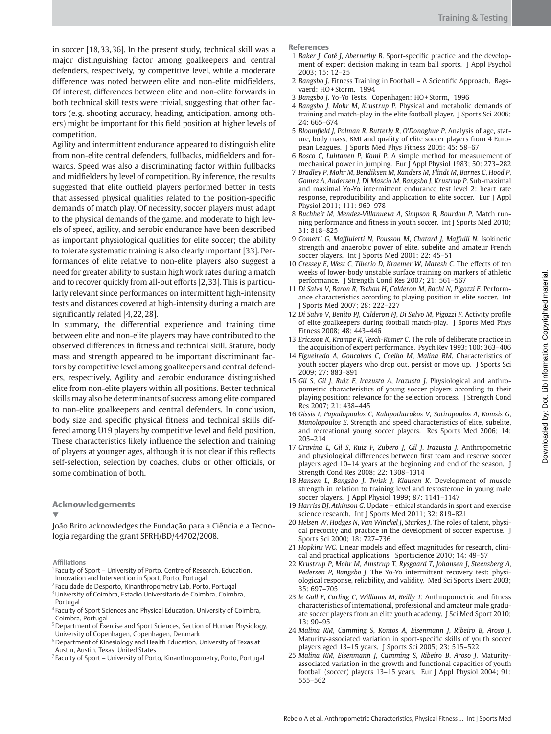in soccer [18,33,36]. In the present study, technical skill was a major distinguishing factor among goalkeepers and central defenders, respectively, by competitive level, while a moderate difference was noted between elite and non-elite midfielders. Of interest, differences between elite and non-elite forwards in both technical skill tests were trivial, suggesting that other factors (e. g. shooting accuracy, heading, anticipation, among others) might be important for this field position at higher levels of competition.

 Agility and intermittent endurance appeared to distinguish elite from non-elite central defenders, fullbacks, midfielders and forwards. Speed was also a discriminating factor within fullbacks and midfielders by level of competition. By inference, the results suggested that elite outfield players performed better in tests that assessed physical qualities related to the position-specific demands of match play. Of necessity, soccer players must adapt to the physical demands of the game, and moderate to high levels of speed, agility, and aerobic endurance have been described as important physiological qualities for elite soccer; the ability to tolerate systematic training is also clearly important [33]. Performances of elite relative to non-elite players also suggest a need for greater ability to sustain high work rates during a match and to recover quickly from all-out efforts [2,33]. This is particularly relevant since performances on intermittent high-intensity tests and distances covered at high-intensity during a match are significantly related [4, 22, 28].

In summary, the differential experience and training time between elite and non-elite players may have contributed to the observed differences in fitness and technical skill. Stature, body mass and strength appeared to be important discriminant factors by competitive level among goalkeepers and central defenders, respectively. Agility and aerobic endurance distinguished elite from non-elite players within all positions. Better technical skills may also be determinants of success among elite compared to non-elite goalkeepers and central defenders. In conclusion, body size and specific physical fitness and technical skills differed among U19 players by competitive level and field position. These characteristics likely influence the selection and training of players at younger ages, although it is not clear if this reflects self-selection, selection by coaches, clubs or other officials, or some combination of both.

## Acknowledgements

▼

 João Brito acknowledges the Fundação para a Ciência e a Tecnologia regarding the grant SFRH/BD/44702/2008.

- Innovation and Intervention in Sport, Porto, Portugal<br><sup>2</sup> Faculdade de Desporto, Kinanthropometry Lab, Porto, Portugal<br><sup>3</sup> University of Coimbra, Estadio Universitario de Coimbra, Coimbra,
- Portugal<br><sup>4</sup> Faculty of Sport Sciences and Physical Education, University of Coimbra,
- Coimbra, Portugal<br><sup>5</sup> Department of Exercise and Sport Sciences, Section of Human Physiology,
- University of Copenhagen, Copenhagen, Denmark<br><sup>6</sup> Department of Kinesiology and Health Education, University of Texas at
- Austin, Austin, Texas, United States<br><sup>7</sup> Faculty of Sport University of Porto, Kinanthropometry, Porto, Portugal

References

- 1 *Baker J*, *Coté J*, *Abernethy B*. Sport-specific practice and the development of expert decision making in team ball sports. J Appl Psychol 2003; 15: 12-25
- 2 *Bangsbo J.* Fitness Training in Football A Scientific Approach. Bagsvaerd: HO+Storm, 1994
- 3 *Bangsbo J. Yo-Yo Tests. Copenhagen: HO+Storm, 1996*
- 4 *Bangsbo J* , *Mohr M* , *Krustrup P* . Physical and metabolic demands of training and match-play in the elite football player. J Sports Sci 2006; 24 : 665 – 674
- 5 *Bloomfi eld J* , *Polman R* , *Butterly R* , *O'Donoghue P* . Analysis of age, stature, body mass, BMI and quality of elite soccer players from 4 European Leagues. J Sports Med Phys Fitness 2005; 45: 58-67
- 6 *Bosco C* , *Luhtanen P* , *Komi P* . A simple method for measurement of mechanical power in jumping. Eur J Appl Physiol 1983; 50: 273-282
- 7 *Bradley P* , *Mohr M* , *Bendiksen M* , *Randers M* , *Flindt M* , *Barnes C* , *Hood P* , *Gomez A* , *Andersen J* , *Di Mascio M* , *Bangsbo J* , *Krustrup P* . Sub-maximal and maximal Yo-Yo intermittent endurance test level 2: heart rate response, reproducibility and application to elite soccer. Eur J Appl Physiol 2011; 111: 969-978
- 8 *Buchheit M* , *Mendez-Villanueva A* , *Simpson B* , *Bourdon P* . Match running performance and fitness in youth soccer. Int J Sports Med 2010; 31 : 818 – 825
- 9 *Cometti G* , *Maffi uletti N* , *Pousson M* , *Chatard J* , *Maff ulli N* . Isokinetic strength and anaerobic power of elite, subelite and amateur French soccer players. Int J Sports Med 2001; 22: 45-51
- 10 *Cressey E, West C, Tiberio D, Kraemer W, Maresh C. The effects of ten* weeks of lower-body unstable surface training on markers of athletic performance. J Strength Cond Res 2007; 21: 561-567
- 11 *Di Salvo V* , *Baron R* , *Tschan H* , *Calderon M* , *Bachl N* , *Pigozzi F* . Performance characteristics according to playing position in elite soccer. Int J Sports Med 2007; 28: 222-227
- 12 *Di Salvo V* , *Benito PJ* , *Calderon FJ* , *Di Salvo M* , *Pigozzi F* . Activity profi le of elite goalkeepers during football match-play. J Sports Med Phys Fitness 2008: 48: 443-446
- 13 *Ericsson K* , *Krampe R* , *Tesch-Römer C* . The role of deliberate practice in the acquisition of expert performance. Psych Rev 1993; 100: 363-406
- 14 *Figueiredo A* , *Goncalves C* , *Coelho M* , *Malina RM* . Characteristics of youth soccer players who drop out, persist or move up. J Sports Sci 2009 ; 27 : 883 – 891
- 15 *Gil S* , *Gil J* , *Ruiz F* , *Irazusta A* , *Irazusta J* . Physiological and anthropometric characteristics of young soccer players according to their playing position: relevance for the selection process . J Strength Cond Res 2007; 21: 438-445
- 16 *Gissis I* , *Papadopoulos C* , *Kalapotharakos V* , *Sotiropoulos A* , *Komsis G* , *Manolopoulos E* . Strength and speed characteristics of elite, subelite, and recreational young soccer players. Res Sports Med 2006; 14: 205 – 214
- 17 *Gravina L* , *Gil S* , *Ruiz F* , *Zubero J* , *Gil J* , *Irazusta J* . Anthropometric and physiological differences between first team and reserve soccer players aged 10-14 years at the beginning and end of the season. J Strength Cond Res 2008; 22: 1308-1314
- 18 *Hansen L* , *Bangsbo J* , *Twisk J* , *Klausen K* . Development of muscle strength in relation to training level and testosterone in young male soccer players. J Appl Physiol 1999; 87: 1141-1147
- 19 *Harriss DJ* , *Atkinson G* . Update ethical standards in sport and exercise science research. Int J Sports Med 2011; 32: 819-821
- 20 *Helsen W* , *Hodges N* , *Van Winckel J* , *Starkes J* . The roles of talent, physical precocity and practice in the development of soccer expertise. J Sports Sci 2000: 18: 727-736
- 21 *Hopkins WG*. Linear models and effect magnitudes for research, clinical and practical applications. Sportscience 2010; 14: 49-57
- 22 *Krustrup P* , *Mohr M* , *Amstrup T* , *Rysgaard T* , *Johansen J* , *Steensberg A* , *Pedersen P, Bangsbo J. The Yo-Yo intermittent recovery test: physi*ological response, reliability, and validity. Med Sci Sports Exerc 2003; 35 : 697 – 705
- 23 *le Gall F* , *Carling C* , *Williams M* , *Reilly T* . Anthropometric and fi tness characteristics of international, professional and amateur male graduate soccer players from an elite youth academy. J Sci Med Sport 2010; 13: 90-95
- 24 *Malina RM* , *Cumming S* , *Kontos A* , *Eisenmann J* , *Ribeiro B* , *Aroso J* . Maturity-associated variation in sport-specific skills of youth soccer players aged 13-15 years. J Sports Sci 2005; 23: 515-522
- 25 *Malina RM* , *Eisenmann J* , *Cumming S* , *Ribeiro B* , *Aroso J* . Maturityassociated variation in the growth and functional capacities of youth football (soccer) players 13-15 years. Eur J Appl Physiol 2004; 91: 555 – 562

**Affi liations**

<sup>&</sup>lt;sup>1</sup> Faculty of Sport – University of Porto, Centre of Research, Education,